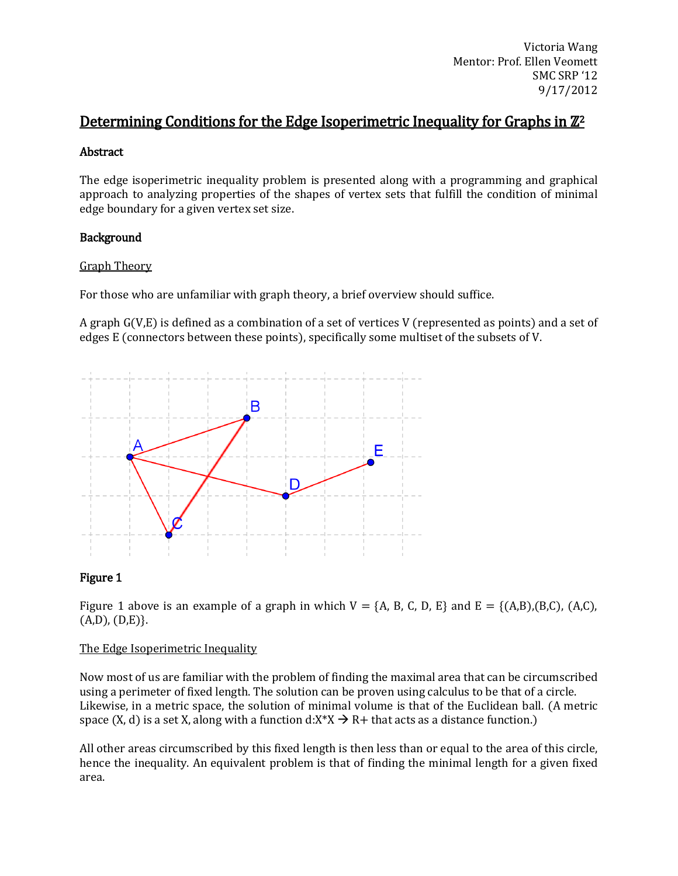# Determining Conditions for the Edge Isoperimetric Inequality for Graphs in  $\mathbb{Z}^2$

# Abstract

The edge isoperimetric inequality problem is presented along with a programming and graphical approach to analyzing properties of the shapes of vertex sets that fulfill the condition of minimal edge boundary for a given vertex set size.

# Background

# Graph Theory

For those who are unfamiliar with graph theory, a brief overview should suffice.

A graph G(V,E) is defined as a combination of a set of vertices V (represented as points) and a set of edges E (connectors between these points), specifically some multiset of the subsets of V.



# Figure 1

Figure 1 above is an example of a graph in which  $V = \{A, B, C, D, E\}$  and  $E = \{(A,B), (B,C), (A,C),$  $(A,D), (D,E)\}.$ 

### The Edge Isoperimetric Inequality

Now most of us are familiar with the problem of finding the maximal area that can be circumscribed using a perimeter of fixed length. The solution can be proven using calculus to be that of a circle. Likewise, in a metric space, the solution of minimal volume is that of the Euclidean ball. (A metric space (X, d) is a set X, along with a function  $d: X^*X \to R+$  that acts as a distance function.)

All other areas circumscribed by this fixed length is then less than or equal to the area of this circle, hence the inequality. An equivalent problem is that of finding the minimal length for a given fixed area.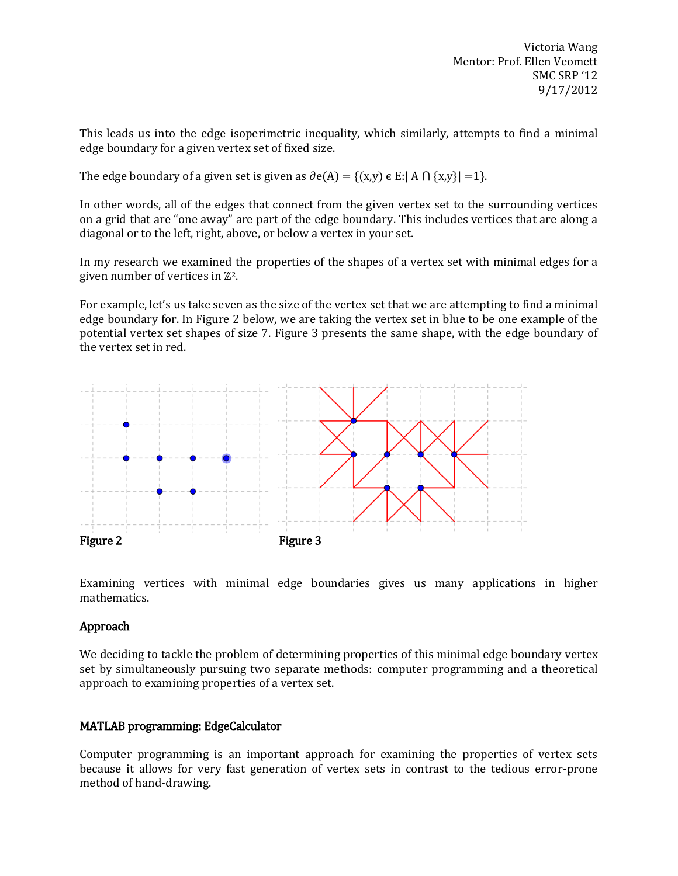This leads us into the edge isoperimetric inequality, which similarly, attempts to find a minimal edge boundary for a given vertex set of fixed size.

The edge boundary of a given set is given as  $\partial e(A) = \{(x,y) \in E : |A \cap \{x,y\}| = 1\}.$ 

In other words, all of the edges that connect from the given vertex set to the surrounding vertices on a grid that are "one away" are part of the edge boundary. This includes vertices that are along a diagonal or to the left, right, above, or below a vertex in your set.

In my research we examined the properties of the shapes of a vertex set with minimal edges for a given number of vertices in  $\mathbb{Z}^2$ .

For example, let's us take seven as the size of the vertex set that we are attempting to find a minimal edge boundary for. In Figure 2 below, we are taking the vertex set in blue to be one example of the potential vertex set shapes of size 7. Figure 3 presents the same shape, with the edge boundary of the vertex set in red.



Examining vertices with minimal edge boundaries gives us many applications in higher mathematics.

# Approach

We deciding to tackle the problem of determining properties of this minimal edge boundary vertex set by simultaneously pursuing two separate methods: computer programming and a theoretical approach to examining properties of a vertex set.

# MATLAB programming: EdgeCalculator

Computer programming is an important approach for examining the properties of vertex sets because it allows for very fast generation of vertex sets in contrast to the tedious error-prone method of hand-drawing.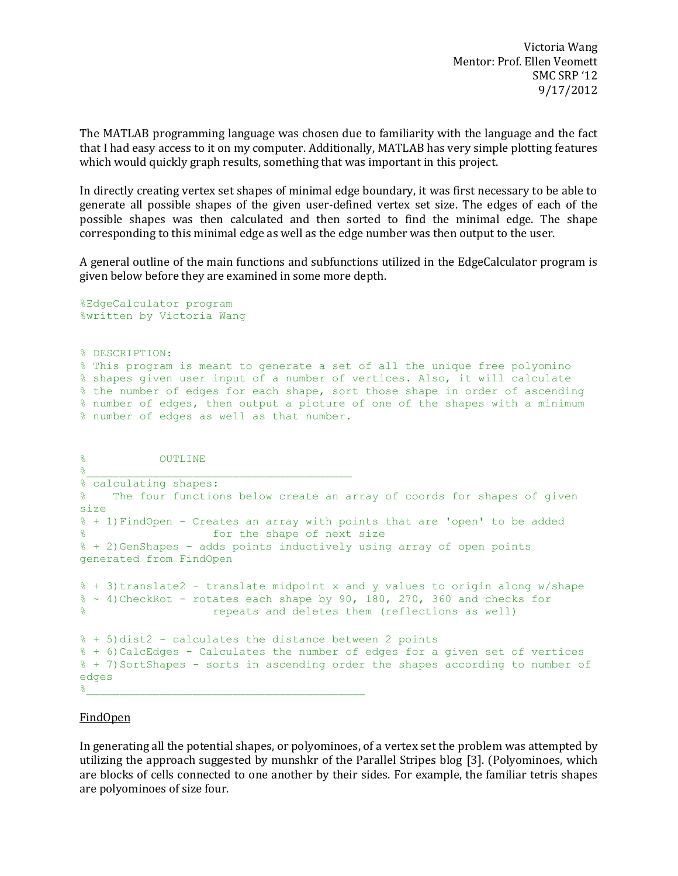The MATLAB programming language was chosen due to familiarity with the language and the fact that I had easy access to it on my computer. Additionally, MATLAB has very simple plotting features which would quickly graph results, something that was important in this project.

In directly creating vertex set shapes of minimal edge boundary, it was first necessary to be able to generate all possible shapes of the given user-defined vertex set size. The edges of each of the possible shapes was then calculated and then sorted to find the minimal edge. The shape corresponding to this minimal edge as well as the edge number was then output to the user.

A general outline of the main functions and subfunctions utilized in the EdgeCalculator program is given below before they are examined in some more depth.

%EdgeCalculator program %written by Victoria Wang

% DESCRIPTION:

% This program is meant to generate a set of all the unique free polyomino % shapes given user input of a number of vertices. Also, it will calculate % the number of edges for each shape, sort those shape in order of ascending % number of edges, then output a picture of one of the shapes with a minimum % number of edges as well as that number.

```
% OUTLINE
\frac{\alpha}{\alpha}% calculating shapes:
% The four functions below create an array of coords for shapes of given 
size
% + 1)FindOpen - Creates an array with points that are 'open' to be added
% for the shape of next size
% + 2)GenShapes - adds points inductively using array of open points 
generated from FindOpen
% + 3)translate2 - translate midpoint x and y values to origin along w/shape
% \sim 4)CheckRot - rotates each shape by 90, 180, 270, 360 and checks for
% repeats and deletes them (reflections as well)
% + 5)dist2 - calculates the distance between 2 points
% + 6)CalcEdges - Calculates the number of edges for a given set of vertices
% + 7)SortShapes - sorts in ascending order the shapes according to number of 
edges
\frac{\partial}{\partial t}
```
#### FindOpen

In generating all the potential shapes, or polyominoes, of a vertex set the problem was attempted by utilizing the approach suggested by munshkr of the Parallel Stripes blog [3]. (Polyominoes, which are blocks of cells connected to one another by their sides. For example, the familiar tetris shapes are polyominoes of size four.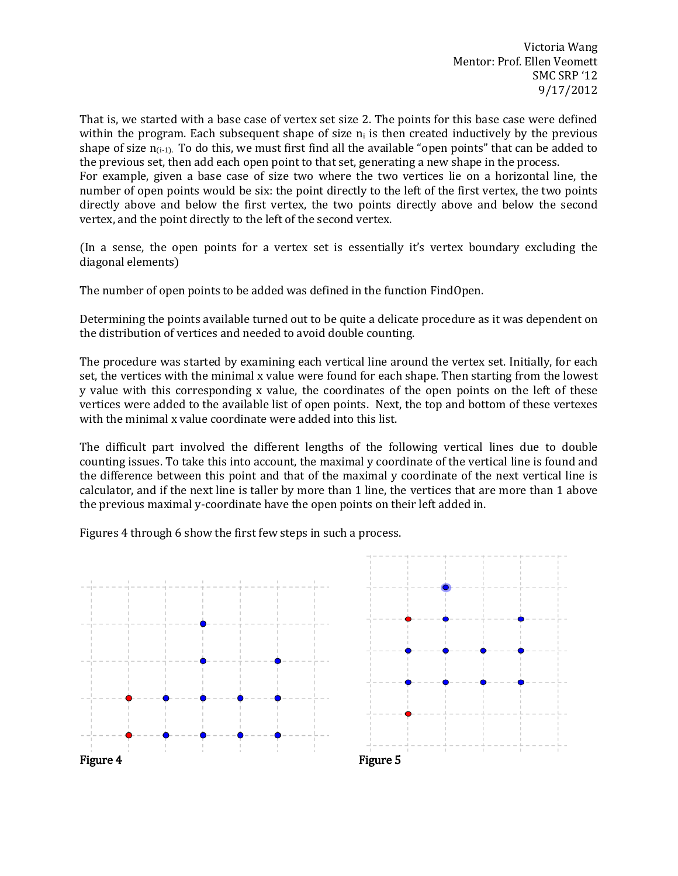That is, we started with a base case of vertex set size 2. The points for this base case were defined within the program. Each subsequent shape of size  $n_i$  is then created inductively by the previous shape of size  $n_{(i-1)}$ . To do this, we must first find all the available "open points" that can be added to the previous set, then add each open point to that set, generating a new shape in the process. For example, given a base case of size two where the two vertices lie on a horizontal line, the number of open points would be six: the point directly to the left of the first vertex, the two points directly above and below the first vertex, the two points directly above and below the second vertex, and the point directly to the left of the second vertex.

(In a sense, the open points for a vertex set is essentially it's vertex boundary excluding the diagonal elements)

The number of open points to be added was defined in the function FindOpen.

Determining the points available turned out to be quite a delicate procedure as it was dependent on the distribution of vertices and needed to avoid double counting.

The procedure was started by examining each vertical line around the vertex set. Initially, for each set, the vertices with the minimal x value were found for each shape. Then starting from the lowest y value with this corresponding x value, the coordinates of the open points on the left of these vertices were added to the available list of open points. Next, the top and bottom of these vertexes with the minimal x value coordinate were added into this list.

The difficult part involved the different lengths of the following vertical lines due to double counting issues. To take this into account, the maximal y coordinate of the vertical line is found and the difference between this point and that of the maximal y coordinate of the next vertical line is calculator, and if the next line is taller by more than 1 line, the vertices that are more than 1 above the previous maximal y-coordinate have the open points on their left added in.

Figures 4 through 6 show the first few steps in such a process.

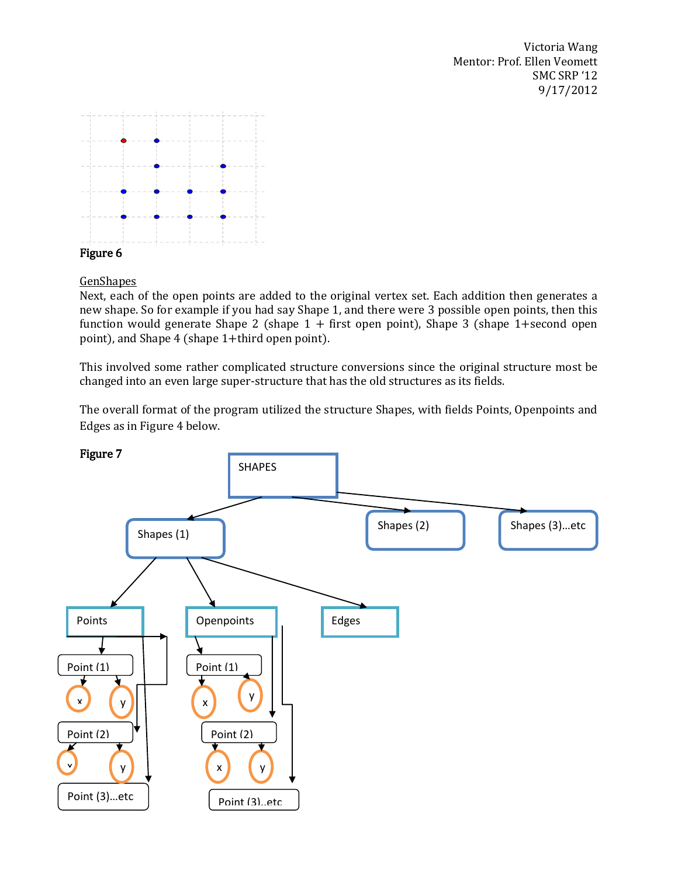

GenShapes

Next, each of the open points are added to the original vertex set. Each addition then generates a new shape. So for example if you had say Shape 1, and there were 3 possible open points, then this function would generate Shape 2 (shape  $1 +$  first open point), Shape 3 (shape 1+second open point), and Shape 4 (shape 1+third open point).

This involved some rather complicated structure conversions since the original structure most be changed into an even large super-structure that has the old structures as its fields.

The overall format of the program utilized the structure Shapes, with fields Points, Openpoints and Edges as in Figure 4 below.

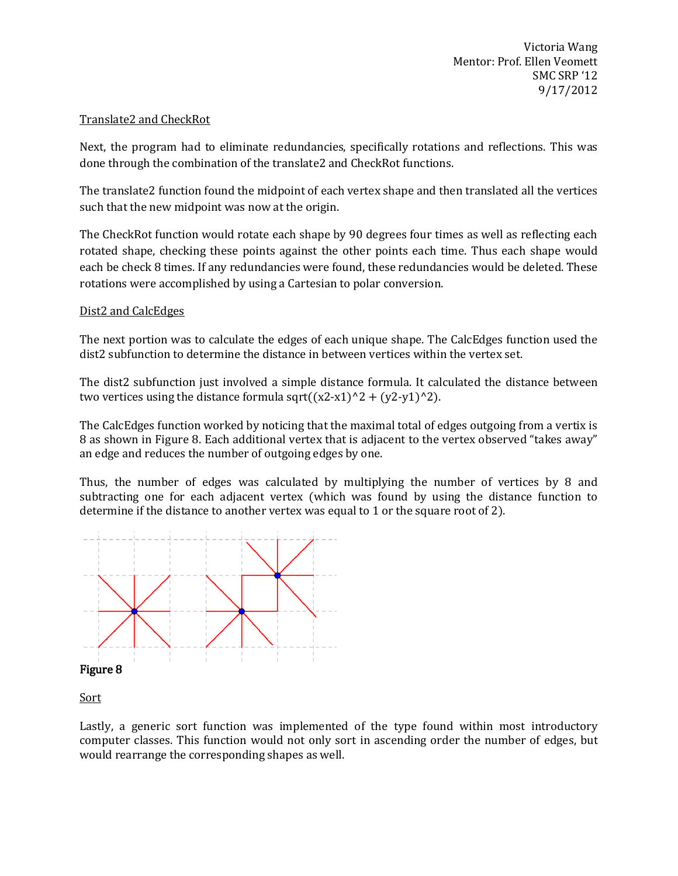## Translate2 and CheckRot

Next, the program had to eliminate redundancies, specifically rotations and reflections. This was done through the combination of the translate2 and CheckRot functions.

The translate2 function found the midpoint of each vertex shape and then translated all the vertices such that the new midpoint was now at the origin.

The CheckRot function would rotate each shape by 90 degrees four times as well as reflecting each rotated shape, checking these points against the other points each time. Thus each shape would each be check 8 times. If any redundancies were found, these redundancies would be deleted. These rotations were accomplished by using a Cartesian to polar conversion.

### Dist2 and CalcEdges

The next portion was to calculate the edges of each unique shape. The CalcEdges function used the dist2 subfunction to determine the distance in between vertices within the vertex set.

The dist2 subfunction just involved a simple distance formula. It calculated the distance between two vertices using the distance formula sqrt( $(x2-x1)^2 + (y2-y1)^2$ ).

The CalcEdges function worked by noticing that the maximal total of edges outgoing from a vertix is 8 as shown in Figure 8. Each additional vertex that is adjacent to the vertex observed "takes away" an edge and reduces the number of outgoing edges by one.

Thus, the number of edges was calculated by multiplying the number of vertices by 8 and subtracting one for each adjacent vertex (which was found by using the distance function to determine if the distance to another vertex was equal to 1 or the square root of 2).



**Sort** 

Lastly, a generic sort function was implemented of the type found within most introductory computer classes. This function would not only sort in ascending order the number of edges, but would rearrange the corresponding shapes as well.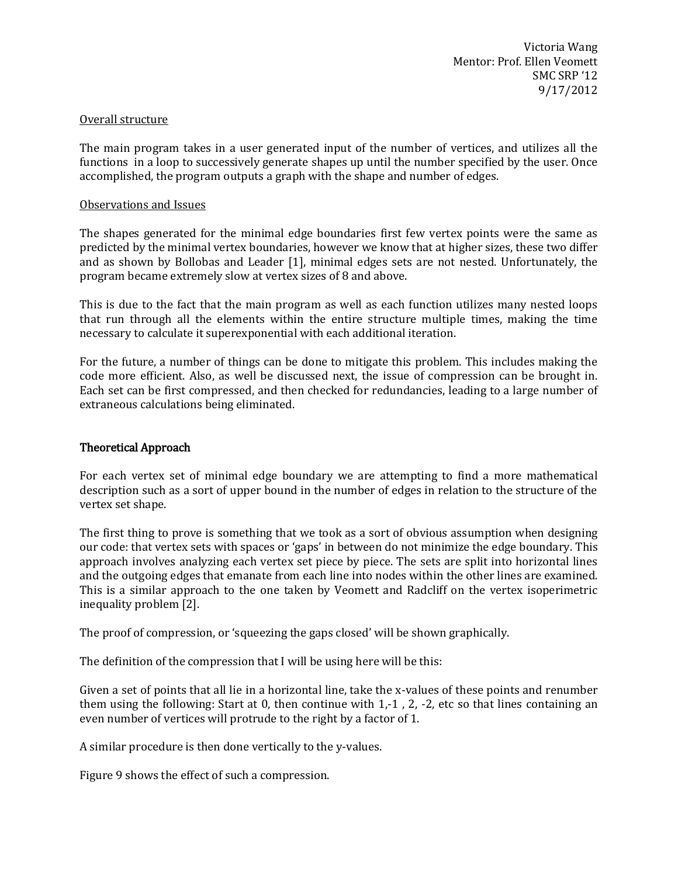#### Overall structure

The main program takes in a user generated input of the number of vertices, and utilizes all the functions in a loop to successively generate shapes up until the number specified by the user. Once accomplished, the program outputs a graph with the shape and number of edges.

#### Observations and Issues

The shapes generated for the minimal edge boundaries first few vertex points were the same as predicted by the minimal vertex boundaries, however we know that at higher sizes, these two differ and as shown by Bollobas and Leader [1], minimal edges sets are not nested. Unfortunately, the program became extremely slow at vertex sizes of 8 and above.

This is due to the fact that the main program as well as each function utilizes many nested loops that run through all the elements within the entire structure multiple times, making the time necessary to calculate it superexponential with each additional iteration.

For the future, a number of things can be done to mitigate this problem. This includes making the code more efficient. Also, as well be discussed next, the issue of compression can be brought in. Each set can be first compressed, and then checked for redundancies, leading to a large number of extraneous calculations being eliminated.

### Theoretical Approach

For each vertex set of minimal edge boundary we are attempting to find a more mathematical description such as a sort of upper bound in the number of edges in relation to the structure of the vertex set shape.

The first thing to prove is something that we took as a sort of obvious assumption when designing our code: that vertex sets with spaces or 'gaps' in between do not minimize the edge boundary. This approach involves analyzing each vertex set piece by piece. The sets are split into horizontal lines and the outgoing edges that emanate from each line into nodes within the other lines are examined. This is a similar approach to the one taken by Veomett and Radcliff on the vertex isoperimetric inequality problem [2].

The proof of compression, or 'squeezing the gaps closed' will be shown graphically.

The definition of the compression that I will be using here will be this:

Given a set of points that all lie in a horizontal line, take the x-values of these points and renumber them using the following: Start at 0, then continue with 1,-1 , 2, -2, etc so that lines containing an even number of vertices will protrude to the right by a factor of 1.

A similar procedure is then done vertically to the y-values.

Figure 9 shows the effect of such a compression.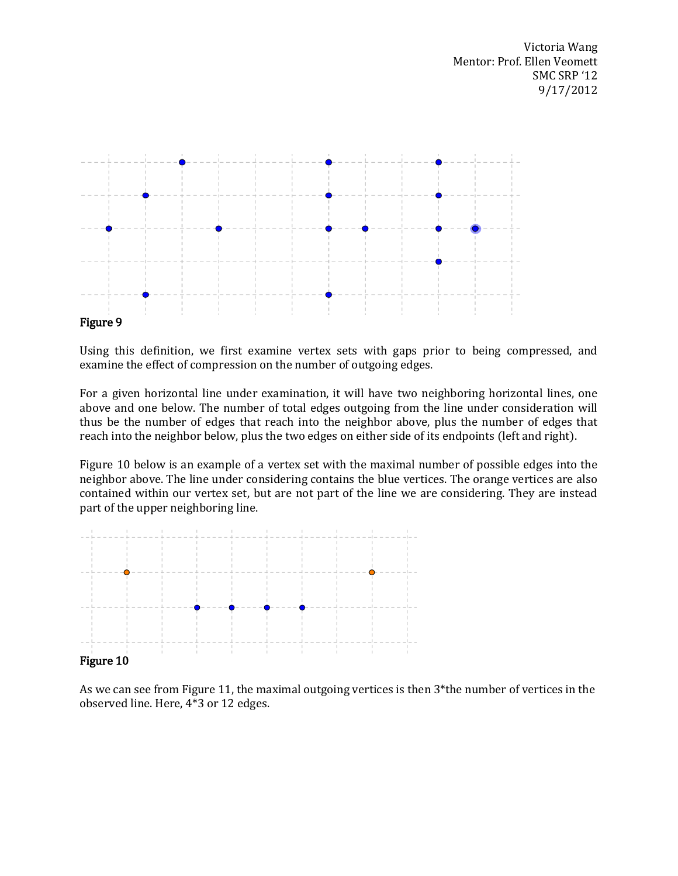

Using this definition, we first examine vertex sets with gaps prior to being compressed, and examine the effect of compression on the number of outgoing edges.

For a given horizontal line under examination, it will have two neighboring horizontal lines, one above and one below. The number of total edges outgoing from the line under consideration will thus be the number of edges that reach into the neighbor above, plus the number of edges that reach into the neighbor below, plus the two edges on either side of its endpoints (left and right).

Figure 10 below is an example of a vertex set with the maximal number of possible edges into the neighbor above. The line under considering contains the blue vertices. The orange vertices are also contained within our vertex set, but are not part of the line we are considering. They are instead part of the upper neighboring line.



### Figure 10

As we can see from Figure 11, the maximal outgoing vertices is then 3\*the number of vertices in the observed line. Here, 4\*3 or 12 edges.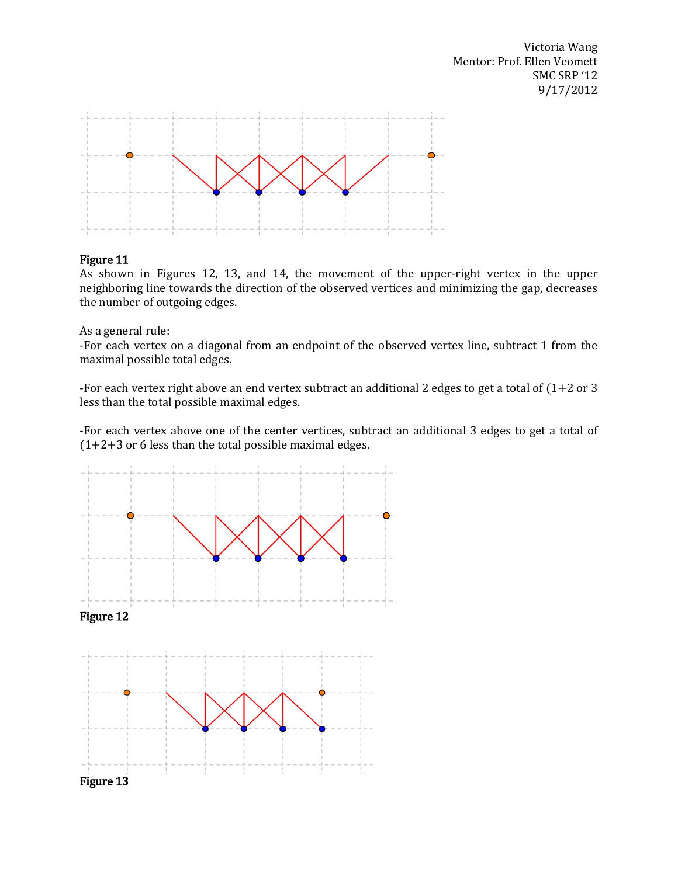

### Figure 11

As shown in Figures 12, 13, and 14, the movement of the upper-right vertex in the upper neighboring line towards the direction of the observed vertices and minimizing the gap, decreases the number of outgoing edges.

As a general rule:

-For each vertex on a diagonal from an endpoint of the observed vertex line, subtract 1 from the maximal possible total edges.

-For each vertex right above an end vertex subtract an additional 2 edges to get a total of (1+2 or 3 less than the total possible maximal edges.

-For each vertex above one of the center vertices, subtract an additional 3 edges to get a total of  $(1+2+3)$  or 6 less than the total possible maximal edges.

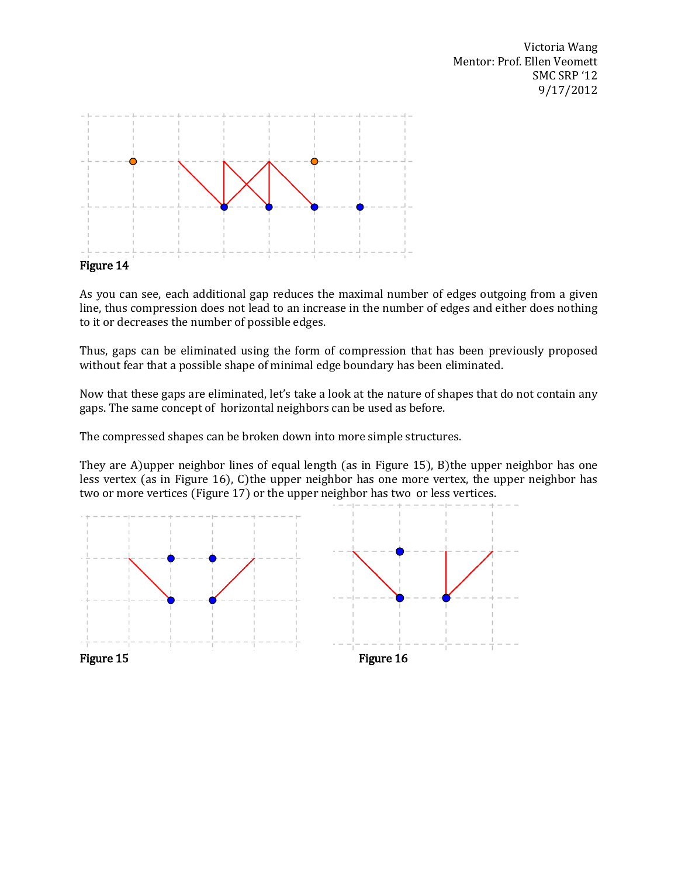

As you can see, each additional gap reduces the maximal number of edges outgoing from a given line, thus compression does not lead to an increase in the number of edges and either does nothing to it or decreases the number of possible edges.

Thus, gaps can be eliminated using the form of compression that has been previously proposed without fear that a possible shape of minimal edge boundary has been eliminated.

Now that these gaps are eliminated, let's take a look at the nature of shapes that do not contain any gaps. The same concept of horizontal neighbors can be used as before.

The compressed shapes can be broken down into more simple structures.

They are A)upper neighbor lines of equal length (as in Figure 15), B)the upper neighbor has one less vertex (as in Figure 16), C)the upper neighbor has one more vertex, the upper neighbor has two or more vertices (Figure 17) or the upper neighbor has two or less vertices.

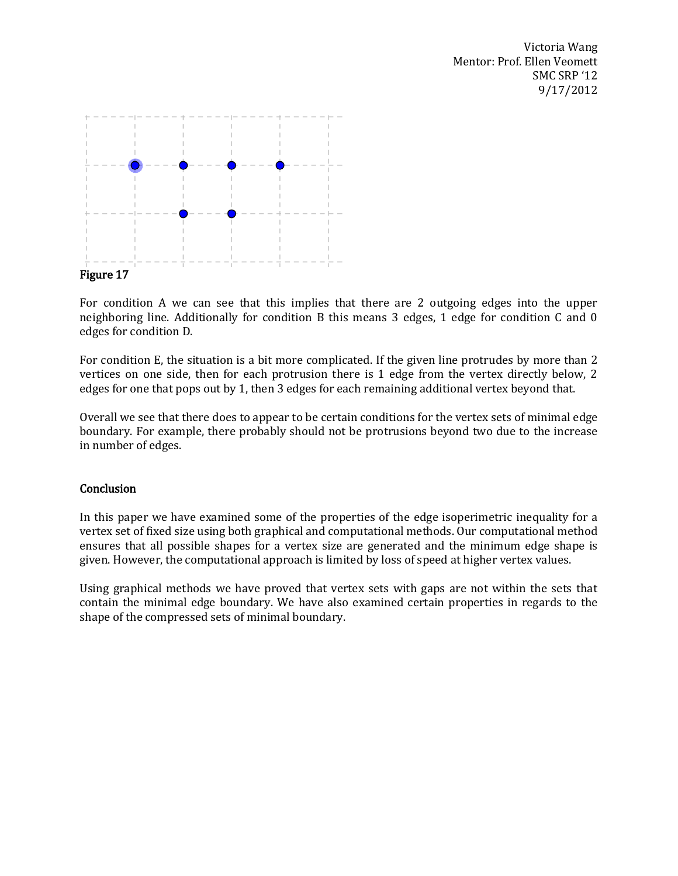

For condition A we can see that this implies that there are 2 outgoing edges into the upper neighboring line. Additionally for condition B this means 3 edges, 1 edge for condition C and 0 edges for condition D.

For condition E, the situation is a bit more complicated. If the given line protrudes by more than 2 vertices on one side, then for each protrusion there is 1 edge from the vertex directly below, 2 edges for one that pops out by 1, then 3 edges for each remaining additional vertex beyond that.

Overall we see that there does to appear to be certain conditions for the vertex sets of minimal edge boundary. For example, there probably should not be protrusions beyond two due to the increase in number of edges.

### **Conclusion**

In this paper we have examined some of the properties of the edge isoperimetric inequality for a vertex set of fixed size using both graphical and computational methods. Our computational method ensures that all possible shapes for a vertex size are generated and the minimum edge shape is given. However, the computational approach is limited by loss of speed at higher vertex values.

Using graphical methods we have proved that vertex sets with gaps are not within the sets that contain the minimal edge boundary. We have also examined certain properties in regards to the shape of the compressed sets of minimal boundary.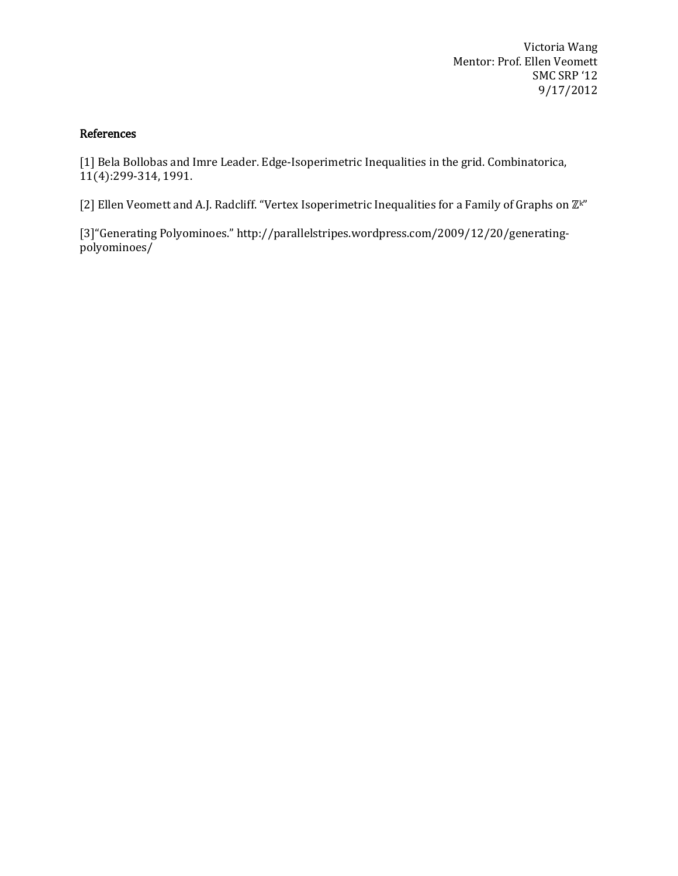## References

[1] Bela Bollobas and Imre Leader. Edge-Isoperimetric Inequalities in the grid. Combinatorica, 11(4):299-314, 1991.

[2] Ellen Veomett and A.J. Radcliff. "Vertex Isoperimetric Inequalities for a Family of Graphs on  $\mathbb{Z}^{k}$ "

[3]"Generating Polyominoes." http://parallelstripes.wordpress.com/2009/12/20/generatingpolyominoes/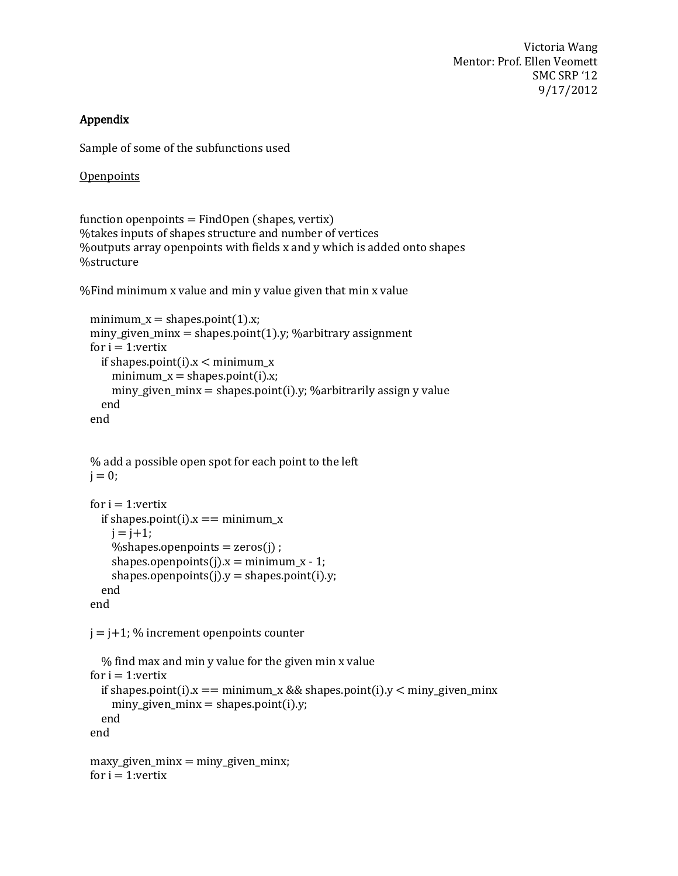# Appendix

Sample of some of the subfunctions used

**Openpoints** 

function openpoints  $=$  FindOpen (shapes, vertix) %takes inputs of shapes structure and number of vertices %outputs array openpoints with fields x and y which is added onto shapes %structure

%Find minimum x value and min y value given that min x value

```
minimum_x =shapes.point(1).x;
miny_given_minx = shapes.point(1).y; %arbitrary assignment
for i = 1: vertix
  if shapes.point(i).x < minimum_x
    minimum x = shapes.point(i).x;
    miny given \text{minx} = \text{shapes}\cdot\text{point}(i).y; %arbitrarily assign y value
   end
 end
```
 % add a possible open spot for each point to the left  $i = 0$ ;

```
for i = 1: vertix
  if shapes.point(i).x == minimum x
   i = i+1;
   %shapes.openpoints = zeros(j) ;
   shapes.openpoints(j).x =minimum_x - 1;
   shapes.openpoints(j).y = shapes.point(i).y;
   end
 end
```
 $j = j+1$ ; % increment openpoints counter

```
 % find max and min y value for the given min x value
for i = 1: vertix
  if shapes.point(i).x == minimum_x && shapes.point(i).y < miny_given_minx
   miny_given_minx = shapes.point(i).y;
   end
 end
maxy_given_minx = miny_given_minx;
for i = 1: vertix
```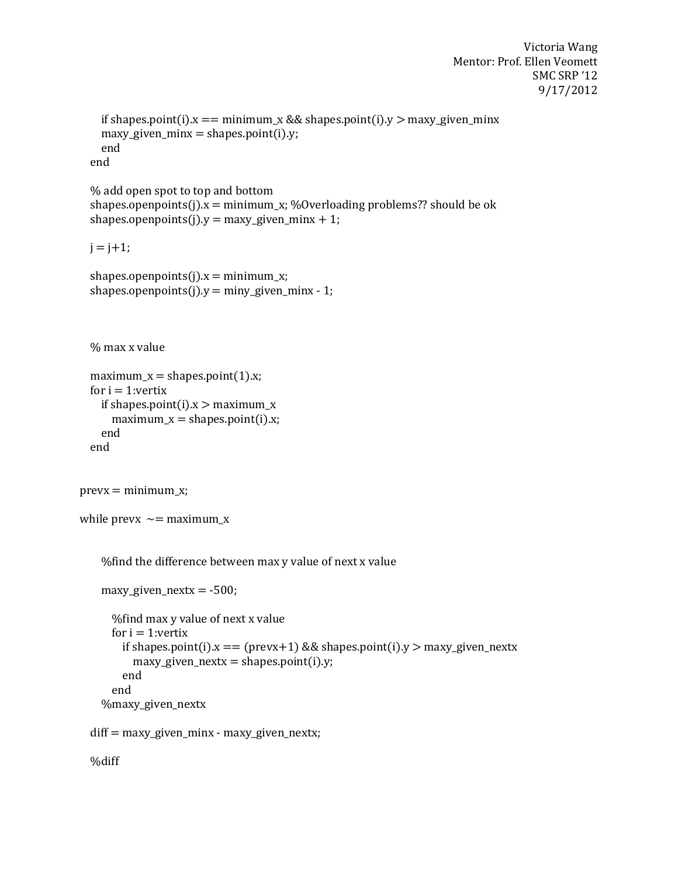```
Victoria Wang
Mentor: Prof. Ellen Veomett
              SMC SRP '12 
               9/17/2012
```

```
if shapes.point(i).x == minimum_x \&& shapes point(i).y > maxy_given\_minxmaxy_given_minx = shapes.point(i).y;
 end
```
end

```
 % add open spot to top and bottom
shapes.openpoints(j).x = minimum_x; %Overloading problems?? should be ok
shapes.openpoints(j).y = maxy_given_minx + 1;
```
 $j = j + 1;$ 

```
shapes.openpoints(j).x = minimum_x;
shapes.openpoints(j).y = miny_given_minx - 1;
```
% max x value

```
maximum_x = shapes.point(1).x;for i = 1: vertix
  if shapes.point(i).x > maximum_x
   maximum_x = shapes.point(i).x; end
 end
```

```
prevx = minimum_x;
```

```
while prevx \sim = maximum x
```
%find the difference between max y value of next x value

```
maxy_given_nextx = -500;
  %find max y value of next x value
 for i = 1: vertix
   if shapes.point(i).x = (prevx+1) && shapes.point(i).y > maxy_given_nextx
      maxy_given_nextx = shapes.point(i).y;
    end
  end
 %maxy_given_nextx
```
diff = maxy\_given\_minx - maxy\_given\_nextx;

%diff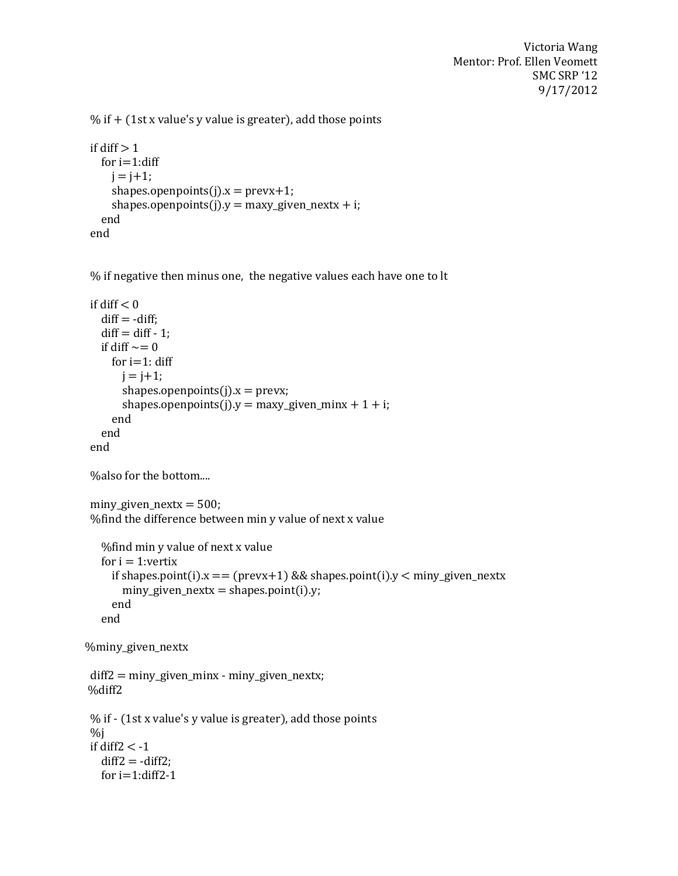```
% if + (1st x value's y value is greater), add those points
```

```
if diff > 1for i=1:diff
   j = j + 1;shapes.openpoints(j).x = prevx+1;
    shapes.openpoints(j).y = maxy_given_nextx + i;
  end
 end
```
% if negative then minus one, the negative values each have one to lt

```
if diff < 0diff = -diff:
  diff = diff - 1;if diff \sim=0for i=1: diff
       j = j + 1;shapes.openpoints(i).x = prevx;shapes.openpoints(j).y = maxy_given_minx + 1 + i;
      end 
   end
 end
 %also for the bottom....
miny_given_nextx = 500;
 %find the difference between min y value of next x value
    %find min y value of next x value
  for i = 1: vertix
     if shapes.point(i).x = (prevx+1) && shapes.point(i).y < miny_given_nextx
       miny_given_nextx = shapes.point(i).y;
      end
    end
 %miny_given_nextx
 diff2 = miny_given_minx - miny_given_nextx;
 %diff2
 % if - (1st x value's y value is greater), add those points
\%j
if diff2 < -1diff2 = -diff2;
  for i=1:diff2-1
```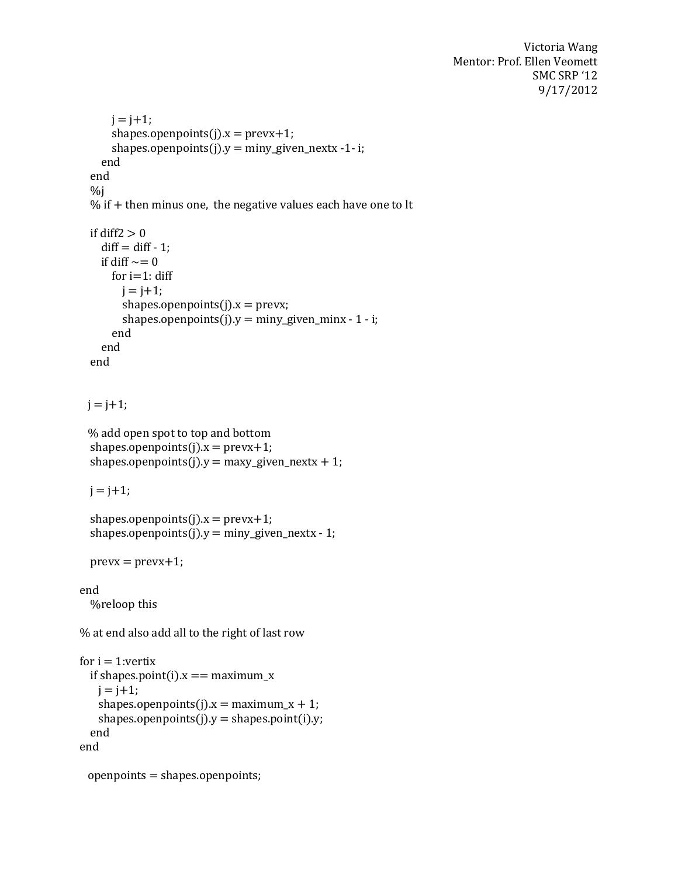```
j = j + 1;shapes.openpoints(j).x = prevx+1;
      shapes.openpoints(j).y = miny_given_nextx -1- i;
    end
   end
  %j% if + then minus one, the negative values each have one to lt
 if diff2 > 0diff = diff - 1;if diff \sim=0for i=1: diff
       i = i + 1;shapes.openpoints(j).x = prevx;shapes.openpoints(j).y = miny_given_minx - 1 - i;
       end 
    end
   end
 j = j + 1; % add open spot to top and bottom
 shapes.openpoints(j).x = prevx+1;
 shapes.openpoints(j).y = maxy_given_nextx + 1;
 j = j + 1;shapes.openpoints(j).x = prevx+1;
  shapes.openpoints(j).y = miny_given_nextx - 1;
 prevx = prevx + 1;end
   %reloop this
% at end also add all to the right of last row
for i = 1: vertix
 if shapes.point(i).x == maximum_xj = j + 1;shapes.openpoints(j).x = maximum_x + 1;
   shapes.openpoints(j).y = shapes.point(i).y;
  end
end
  openpoints = shapes.openpoints;
```